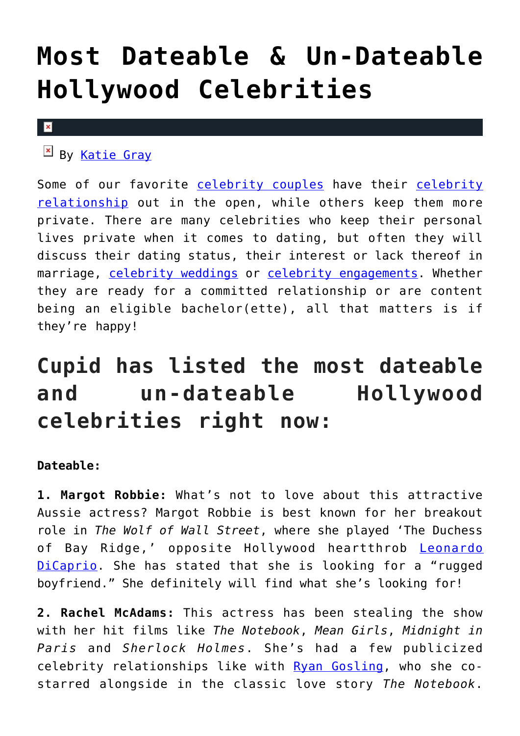## **[Most Dateable & Un-Dateable](https://cupidspulse.com/112588/most-dateable-un-dateable-hollywood-celebrities/) [Hollywood Celebrities](https://cupidspulse.com/112588/most-dateable-un-dateable-hollywood-celebrities/)**

#### $\vert \mathbf{x} \vert$

 $\mathbb{F}$  By [Katie Gray](http://cupidspulse.com/105088/katie-gray/)

Some of our favorite [celebrity couples](http://cupidspulse.com/celebrity-relationships/long-term-relationships-flings/) have their [celebrity](http://cupidspulse.com/celebrity-relationships/long-term-relationships-flings/) [relationship](http://cupidspulse.com/celebrity-relationships/long-term-relationships-flings/) out in the open, while others keep them more private. There are many celebrities who keep their personal lives private when it comes to dating, but often they will discuss their dating status, their interest or lack thereof in marriage, [celebrity weddings](http://cupidspulse.com/celebrity-relationships/wedding-engagement/) or [celebrity engagements.](http://cupidspulse.com/celebrity-relationships/wedding-engagement/) Whether they are ready for a committed relationship or are content being an eligible bachelor(ette), all that matters is if they're happy!

## **Cupid has listed the most dateable and un-dateable Hollywood celebrities right now:**

### **Dateable:**

**1. Margot Robbie:** What's not to love about this attractive Aussie actress? Margot Robbie is best known for her breakout role in *The Wolf of Wall Street*, where she played 'The Duchess of Bay Ridge,' opposite Hollywood heartthrob [Leonardo](http://cupidspulse.com/89065/leonardo-dicaprio/) [DiCaprio.](http://cupidspulse.com/89065/leonardo-dicaprio/) She has stated that she is looking for a "rugged boyfriend." She definitely will find what she's looking for!

**2. Rachel McAdams:** This actress has been stealing the show with her hit films like *The Notebook*, *Mean Girls*, *Midnight in Paris* and *Sherlock Holmes*. She's had a few publicized celebrity relationships like with [Ryan Gosling](http://cupidspulse.com/89547/ryan-gosling/), who she costarred alongside in the classic love story *The Notebook*.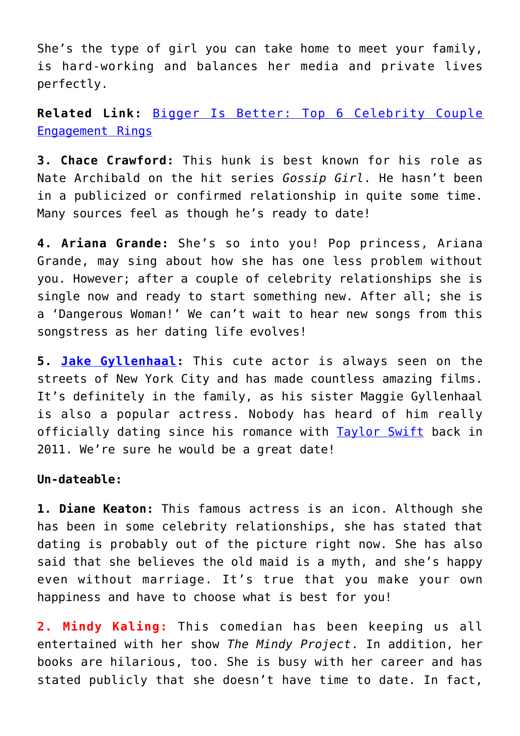She's the type of girl you can take home to meet your family, is hard-working and balances her media and private lives perfectly.

**Related Link:** [Bigger Is Better: Top 6 Celebrity Couple](http://cupidspulse.com/112312/celebrity-couple-engagement-rings/) [Engagement Rings](http://cupidspulse.com/112312/celebrity-couple-engagement-rings/)

**3. Chace Crawford:** This hunk is best known for his role as Nate Archibald on the hit series *Gossip Girl*. He hasn't been in a publicized or confirmed relationship in quite some time. Many sources feel as though he's ready to date!

**4. Ariana Grande:** She's so into you! Pop princess, Ariana Grande, may sing about how she has one less problem without you. However; after a couple of celebrity relationships she is single now and ready to start something new. After all; she is a 'Dangerous Woman!' We can't wait to hear new songs from this songstress as her dating life evolves!

**5. [Jake Gyllenhaal](http://cupidspulse.com/94259/jake-gyllenhaal/):** This cute actor is always seen on the streets of New York City and has made countless amazing films. It's definitely in the family, as his sister Maggie Gyllenhaal is also a popular actress. Nobody has heard of him really officially dating since his romance with [Taylor Swift](http://cupidspulse.com/86081/taylor-swift/) back in 2011. We're sure he would be a great date!

#### **Un-dateable:**

**1. Diane Keaton:** This famous actress is an icon. Although she has been in some celebrity relationships, she has stated that dating is probably out of the picture right now. She has also said that she believes the old maid is a myth, and she's happy even without marriage. It's true that you make your own happiness and have to choose what is best for you!

**2. Mindy Kaling:** This comedian has been keeping us all entertained with her show *The Mindy Project*. In addition, her books are hilarious, too. She is busy with her career and has stated publicly that she doesn't have time to date. In fact,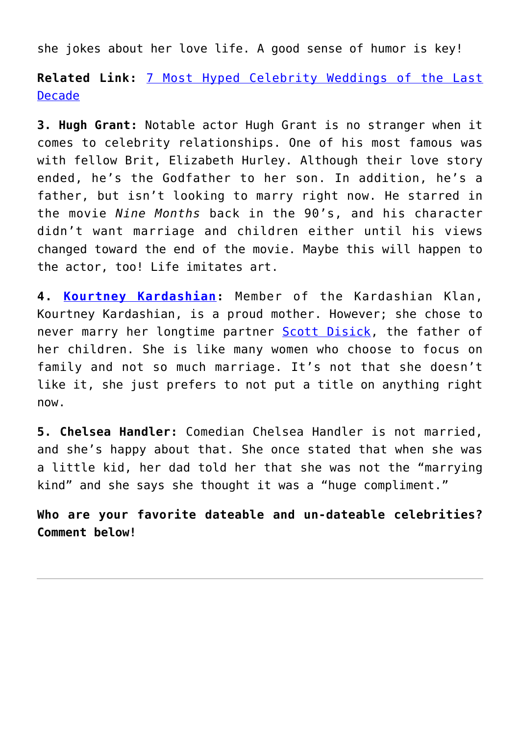she jokes about her love life. A good sense of humor is key!

**Related Link:** [7 Most Hyped Celebrity Weddings of the Last](http://cupidspulse.com/110612/most-hyped-celebrity-weddings-last-decade/) [Decade](http://cupidspulse.com/110612/most-hyped-celebrity-weddings-last-decade/)

**3. Hugh Grant:** Notable actor Hugh Grant is no stranger when it comes to celebrity relationships. One of his most famous was with fellow Brit, Elizabeth Hurley. Although their love story ended, he's the Godfather to her son. In addition, he's a father, but isn't looking to marry right now. He starred in the movie *Nine Months* back in the 90's, and his character didn't want marriage and children either until his views changed toward the end of the movie. Maybe this will happen to the actor, too! Life imitates art.

**4. [Kourtney Kardashian](http://cupidspulse.com/89555/kourtney-kardashian/):** Member of the Kardashian Klan, Kourtney Kardashian, is a proud mother. However; she chose to never marry her longtime partner [Scott Disick,](http://cupidspulse.com/87712/scott-disick/) the father of her children. She is like many women who choose to focus on family and not so much marriage. It's not that she doesn't like it, she just prefers to not put a title on anything right now.

**5. Chelsea Handler:** Comedian Chelsea Handler is not married, and she's happy about that. She once stated that when she was a little kid, her dad told her that she was not the "marrying kind" and she says she thought it was a "huge compliment."

**Who are your favorite dateable and un-dateable celebrities? Comment below!**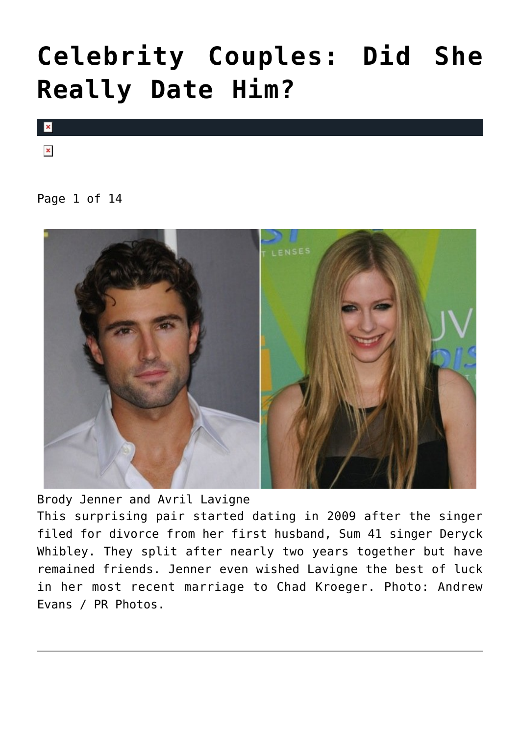## **[Celebrity Couples: Did She](https://cupidspulse.com/85098/celebrity-couples-did-she-really-date-him/) [Really Date Him?](https://cupidspulse.com/85098/celebrity-couples-did-she-really-date-him/)**



 $\pmb{\times}$ 

Page 1 of 14



Brody Jenner and Avril Lavigne This surprising pair started dating in 2009 after the singer filed for divorce from her first husband, Sum 41 singer Deryck Whibley. They split after nearly two years together but have remained friends. Jenner even wished Lavigne the best of luck in her most recent marriage to Chad Kroeger. Photo: Andrew Evans / PR Photos.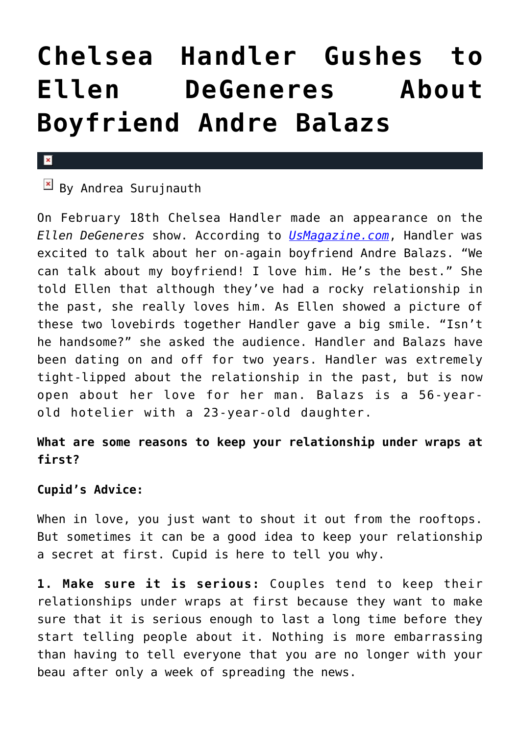## **[Chelsea Handler Gushes to](https://cupidspulse.com/45322/chelsea-handler-gushes-ellen-degeneres-boyfriend-andre-balazs/) [Ellen DeGeneres About](https://cupidspulse.com/45322/chelsea-handler-gushes-ellen-degeneres-boyfriend-andre-balazs/) [Boyfriend Andre Balazs](https://cupidspulse.com/45322/chelsea-handler-gushes-ellen-degeneres-boyfriend-andre-balazs/)**

#### $\mathbf{x}$

### $\boxed{\times}$  By Andrea Surujnauth

On February 18th Chelsea Handler made an appearance on the *Ellen DeGeneres* show. According to *[UsMagazine.com](http://www.usmagazine.com/celebrity-news/news/chelsea-handler-gushes-about-boyfriend-andre-balazs-i-love-him-2013192)*, Handler was excited to talk about her on-again boyfriend Andre Balazs. "We can talk about my boyfriend! I love him. He's the best." She told Ellen that although they've had a rocky relationship in the past, she really loves him. As Ellen showed a picture of these two lovebirds together Handler gave a big smile. "Isn't he handsome?" she asked the audience. Handler and Balazs have been dating on and off for two years. Handler was extremely tight-lipped about the relationship in the past, but is now open about her love for her man. Balazs is a 56-yearold hotelier with a 23-year-old daughter.

### **What are some reasons to keep your relationship under wraps at first?**

### **Cupid's Advice:**

When in love, you just want to shout it out from the rooftops. But sometimes it can be a good idea to keep your relationship a secret at first. Cupid is here to tell you why.

**1. Make sure it is serious:** Couples tend to keep their relationships under wraps at first because they want to make sure that it is serious enough to last a long time before they start telling people about it. Nothing is more embarrassing than having to tell everyone that you are no longer with your beau after only a week of spreading the news.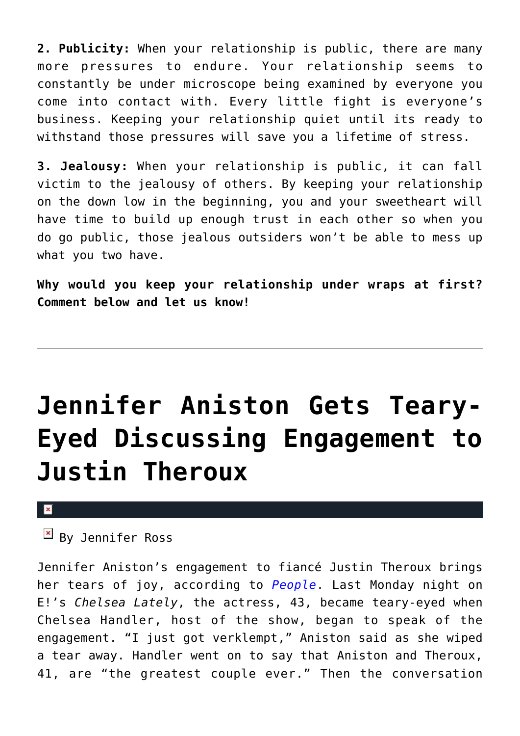**2. Publicity:** When your relationship is public, there are many more pressures to endure. Your relationship seems to constantly be under microscope being examined by everyone you come into contact with. Every little fight is everyone's business. Keeping your relationship quiet until its ready to withstand those pressures will save you a lifetime of stress.

**3. Jealousy:** When your relationship is public, it can fall victim to the jealousy of others. By keeping your relationship on the down low in the beginning, you and your sweetheart will have time to build up enough trust in each other so when you do go public, those jealous outsiders won't be able to mess up what you two have.

**Why would you keep your relationship under wraps at first? Comment below and let us know!**

# **[Jennifer Aniston Gets Teary-](https://cupidspulse.com/39806/jennifer-aniston-teary-eyed-engagement-justin-theroux/)[Eyed Discussing Engagement to](https://cupidspulse.com/39806/jennifer-aniston-teary-eyed-engagement-justin-theroux/) [Justin Theroux](https://cupidspulse.com/39806/jennifer-aniston-teary-eyed-engagement-justin-theroux/)**

#### $\pmb{\times}$

 $\boxed{\times}$  By Jennifer Ross

Jennifer Aniston's engagement to fiancé Justin Theroux brings her tears of joy, according to *[People](http://www.people.com/people/article/0,,20639384,00.html)*. Last Monday night on E!'s *Chelsea Lately*, the actress, 43, became teary-eyed when Chelsea Handler, host of the show, began to speak of the engagement. "I just got verklempt," Aniston said as she wiped a tear away. Handler went on to say that Aniston and Theroux, 41, are "the greatest couple ever." Then the conversation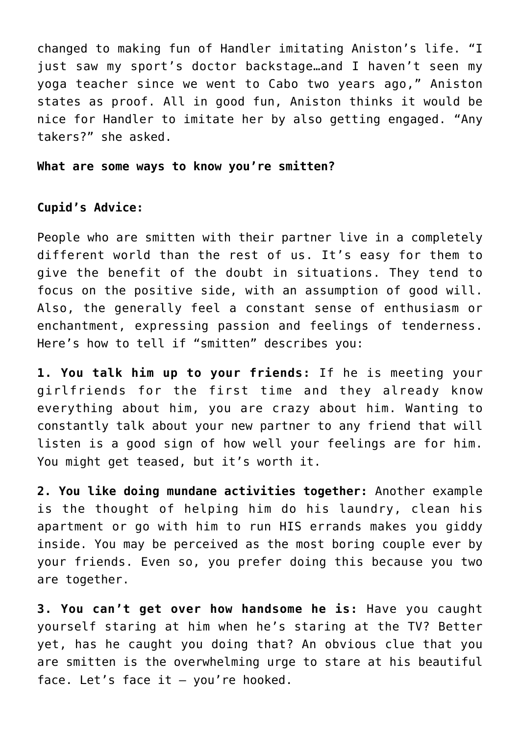changed to making fun of Handler imitating Aniston's life. "I just saw my sport's doctor backstage…and I haven't seen my yoga teacher since we went to Cabo two years ago," Aniston states as proof. All in good fun, Aniston thinks it would be nice for Handler to imitate her by also getting engaged. "Any takers?" she asked.

**What are some ways to know you're smitten?**

### **Cupid's Advice:**

People who are smitten with their partner live in a completely different world than the rest of us. It's easy for them to give the benefit of the doubt in situations. They tend to focus on the positive side, with an assumption of good will. Also, the generally feel a constant sense of enthusiasm or enchantment, expressing passion and feelings of tenderness. Here's how to tell if "smitten" describes you:

**1. You talk him up to your friends:** If he is meeting your girlfriends for the first time and they already know everything about him, you are crazy about him. Wanting to constantly talk about your new partner to any friend that will listen is a good sign of how well your feelings are for him. You might get teased, but it's worth it.

**2. You like doing mundane activities together:** Another example is the thought of helping him do his laundry, clean his apartment or go with him to run HIS errands makes you giddy inside. You may be perceived as the most boring couple ever by your friends. Even so, you prefer doing this because you two are together.

**3. You can't get over how handsome he is:** Have you caught yourself staring at him when he's staring at the TV? Better yet, has he caught you doing that? An obvious clue that you are smitten is the overwhelming urge to stare at his beautiful face. Let's face it — you're hooked.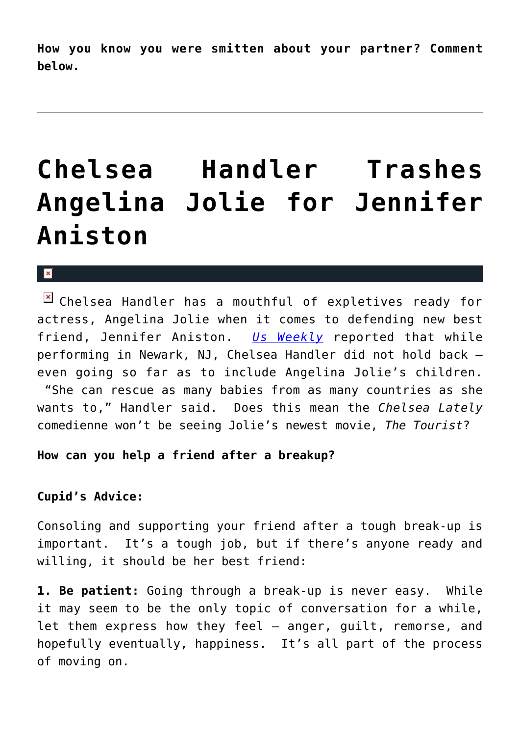**How you know you were smitten about your partner? Comment below.**

## **[Chelsea Handler Trashes](https://cupidspulse.com/8067/chelsea-handler-trashes-angelina-jolie-for-jennifer-aniston/) [Angelina Jolie for Jennifer](https://cupidspulse.com/8067/chelsea-handler-trashes-angelina-jolie-for-jennifer-aniston/) [Aniston](https://cupidspulse.com/8067/chelsea-handler-trashes-angelina-jolie-for-jennifer-aniston/)**

#### $\mathbf x$

Chelsea Handler has a mouthful of expletives ready for actress, Angelina Jolie when it comes to defending new best friend, Jennifer Aniston. *[Us Weekly](http://www.usmagazine.com/celebritynews/news/jen-aniston-pal-chelsea-handler-trashes-homewrecker-angelina-2010612)* reported that while performing in Newark, NJ, Chelsea Handler did not hold back – even going so far as to include Angelina Jolie's children. "She can rescue as many babies from as many countries as she wants to," Handler said. Does this mean the *Chelsea Lately* comedienne won't be seeing Jolie's newest movie, *The Tourist*?

#### **How can you help a friend after a breakup?**

### **Cupid's Advice:**

Consoling and supporting your friend after a tough break-up is important. It's a tough job, but if there's anyone ready and willing, it should be her best friend:

**1. Be patient:** Going through a break-up is never easy. While it may seem to be the only topic of conversation for a while, let them express how they feel — anger, guilt, remorse, and hopefully eventually, happiness. It's all part of the process of moving on.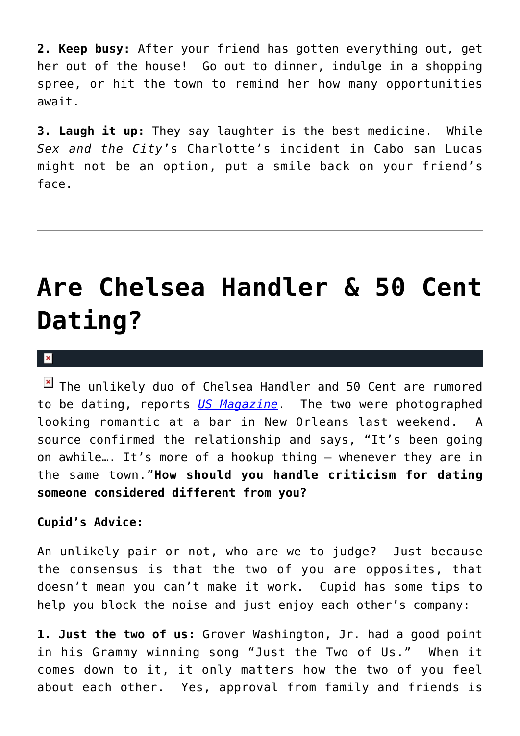**2. Keep busy:** After your friend has gotten everything out, get her out of the house! Go out to dinner, indulge in a shopping spree, or hit the town to remind her how many opportunities await.

**3. Laugh it up:** They say laughter is the best medicine. While *Sex and the City*'s Charlotte's incident in Cabo san Lucas might not be an option, put a smile back on your friend's face.

## **[Are Chelsea Handler & 50 Cent](https://cupidspulse.com/5115/are-chelsea-handler-and-50-cent-dating/) [Dating?](https://cupidspulse.com/5115/are-chelsea-handler-and-50-cent-dating/)**

#### $\mathbf{x}$

 $\boxed{\times}$  The unlikely duo of Chelsea Handler and 50 Cent are rumored to be dating, reports *[US Magazine](http://www.usmagazine.com/celebritynews/news/source-chelsea-handler-50-cent-are-dating-2010510)*. The two were photographed looking romantic at a bar in New Orleans last weekend. A source confirmed the relationship and says, "It's been going on awhile…. It's more of a hookup thing — whenever they are in the same town."**How should you handle criticism for dating someone considered different from you?**

#### **Cupid's Advice:**

An unlikely pair or not, who are we to judge? Just because the consensus is that the two of you are opposites, that doesn't mean you can't make it work. Cupid has some tips to help you block the noise and just enjoy each other's company:

**1. Just the two of us:** Grover Washington, Jr. had a good point in his Grammy winning song "Just the Two of Us." When it comes down to it, it only matters how the two of you feel about each other. Yes, approval from family and friends is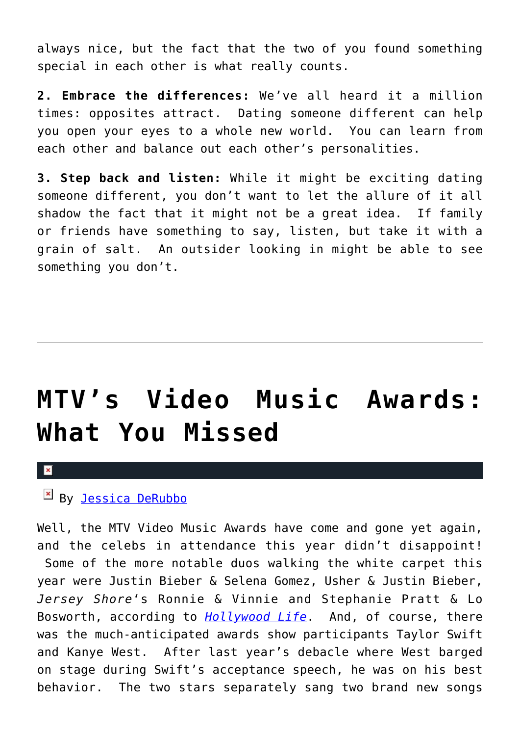always nice, but the fact that the two of you found something special in each other is what really counts.

**2. Embrace the differences:** We've all heard it a million times: opposites attract. Dating someone different can help you open your eyes to a whole new world. You can learn from each other and balance out each other's personalities.

**3. Step back and listen:** While it might be exciting dating someone different, you don't want to let the allure of it all shadow the fact that it might not be a great idea. If family or friends have something to say, listen, but take it with a grain of salt. An outsider looking in might be able to see something you don't.

## **[MTV's Video Music Awards:](https://cupidspulse.com/4420/mtvs-video-music-awards-what-you-missed/) [What You Missed](https://cupidspulse.com/4420/mtvs-video-music-awards-what-you-missed/)**

 $\mathbf x$ 

### $\mathbb{E}$  By [Jessica DeRubbo](http://cupidspulse.com/104599/jessica-derubbo/)

Well, the MTV Video Music Awards have come and gone yet again, and the celebs in attendance this year didn't disappoint! Some of the more notable duos walking the white carpet this year were Justin Bieber & Selena Gomez, Usher & Justin Bieber, *Jersey Shore*'s Ronnie & Vinnie and Stephanie Pratt & Lo Bosworth, according to *[Hollywood Life](http://www.hollywoodlife.com/2010/09/12/mtv-video-music-awards-white-red-carpet-photos-couples-jersey-shore-justin-bieber/)*. And, of course, there was the much-anticipated awards show participants Taylor Swift and Kanye West. After last year's debacle where West barged on stage during Swift's acceptance speech, he was on his best behavior. The two stars separately sang two brand new songs